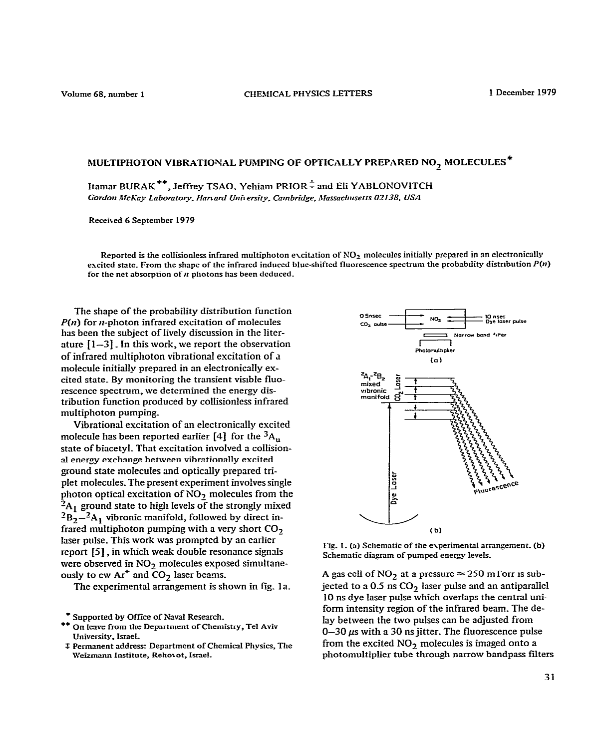Volume 68, number 1

## MULTIPHOTON VIBRATIONAL PUMPING OF OPTICALLY PREPARED NO<sub>2</sub> MOLECULES<sup>\*</sup>

Itamar BURAK<sup>\*\*</sup>, Jeffrey TSAO, Yehiam PRIOR<sup> $\frac{1}{x}$ </sup> and Eli YABLONOVITCH Gordon McKay Laboratory, Harvard University, Cambridge, Massachusetts 02138, USA

Received 6 September 1979

Reported is the collisionless infrared multiphoton excitation of NO<sub>2</sub> molecules initially prepared in an electronically excited state. From the shape of the infrared induced blue-shifted fluorescence spectrum the probability distribution  $P(n)$ for the net absorption of  $n$  photons has been deduced.

The shape of the probability distribution function  $P(n)$  for *n*-photon infrared excitation of molecules has been the subject of lively discussion in the literature  $[1-3]$ . In this work, we report the observation of infrared multiphoton vibrational excitation of a molecule initially prepared in an electronically excited state. By monitoring the transient visible fluorescence spectrum, we determined the energy distribution function produced by collisionless infrared multiphoton pumping.

Vibrational excitation of an electronically excited molecule has been reported earlier  $[4]$  for the  ${}^{3}$ A<sub>11</sub> state of biacetyl. That excitation involved a collisional energy exchange between vibrationally excited ground state molecules and optically prepared triplet molecules. The present experiment involves single photon optical excitation of NO<sub>2</sub> molecules from the  ${}^{2}A_1$  ground state to high levels of the strongly mixed  ${}^{2}B_{2} - {}^{2}A_{1}$  vibronic manifold, followed by direct infrared multiphoton pumping with a very short  $CO<sub>2</sub>$ laser pulse. This work was prompted by an earlier report [5], in which weak double resonance signals were observed in NO<sub>2</sub> molecules exposed simultaneously to cw  $Ar^+$  and  $CO_2$  laser beams.

The experimental arrangement is shown in fig. 1a.

\* Supported by Office of Naval Research.

- On leave from the Department of Chemistry, Tel Aviv University, Israel.
- **I** Permanent address: Department of Chemical Physics, The Weizmann Institute, Rehovot, Israel.



Fig. 1. (a) Schematic of the experimental arrangement. (b) Schematic diagram of pumped energy levels.

A gas cell of  $NO_2$  at a pressure  $\approx$  250 mTorr is subjected to a  $0.5$  ns  $CO<sub>2</sub>$  laser pulse and an antiparallel 10 ns dye laser pulse which overlaps the central uniform intensity region of the infrared beam. The delay between the two pulses can be adjusted from  $0-30 \mu s$  with a 30 ns jitter. The fluorescence pulse from the excited NO<sub>2</sub> molecules is imaged onto a photomultiplier tube through narrow bandpass filters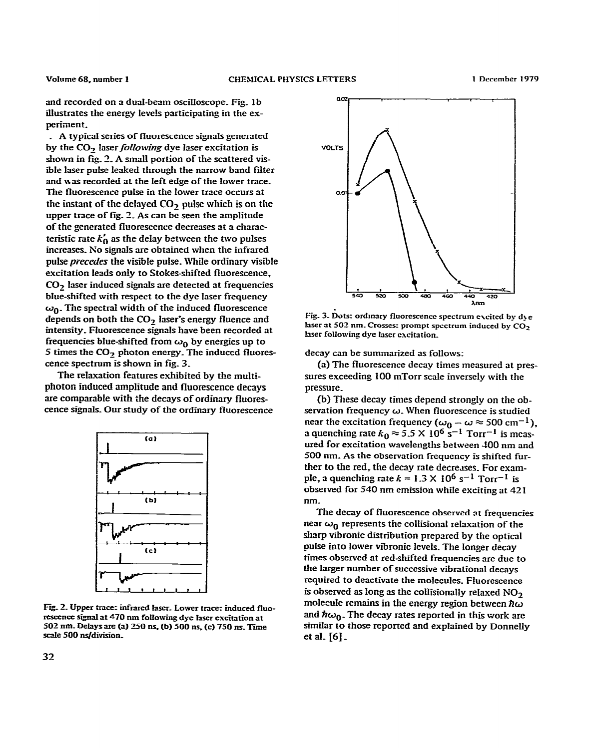and recorded on a dual-beam oscilloscope. Fig. 1b illustrates the energy levels participating in the experiment.

\_ A typical series of fluorescence sigmds generated by the CO<sub>2</sub> laser *following* dye laser excitation is shown in fig.  $2$ . A small portion of the scattered visible laser pulse leaked through the narrow band filter and was recorded at the left edge of the lower trace\_ The fluorescence pulse in the lower trace occurs at the instant of the delayed CO<sub>2</sub> pulse which is on the upper trace of fig. 2. As can be seen the amplitude of the generated fluorescence decreases at a characteristic rate  $k'_0$  as the delay between the two pulses increases\_ xo signaIs are obtained when the infrared pulse *precedes* the visible pulse. While ordinary visible excitation leads only to Stokes-shifted fluorescence,  $CO<sub>2</sub>$  laser induced signals are detected at frequencies blue-shifted with respect to the dye laser frequency  $\omega_0$ . The spectral width of the induced fluorescence depends on both the  $CO<sub>2</sub>$  laser's energy fluence and intensity. Fluorescence signals have been recorded at frequencies blue-shifted from  $\omega_0$  by energies up to 5 times the  $CO<sub>2</sub>$  photon energy. The induced fluorescence spectrum is shown in fig. 3.

The relaxation features exhibited by the multi**photon induced amplitude and fluorescence decays**  are comparable with the decays of ordinary fluores**cence signals\_** Our study of the ordinary fhrorescence



Fg\_ 2\_ **Upper tmce: infrared hsez Lower tmcez** induced fluorescence signal at <sup>470</sup> nm following dye Iaser excitation at 502 nm. Delays are (a) 250 ns, (b) 500 ns, (c) 750 ns. Time scale 500 ns/division.



**Fig\_ 3\_ Dots: ordmary fhorescence spectrum excited by d> e**  laser at 502 nm. Crosses: prompt spectrum induced by CO<sub>2</sub> laser following dye laser excitation.

decay can be summarized as follows:

(a) The fluorescence decay times measured at pressures exceeding 100 mTorr scale inversely with the pressure\_

(b) These decay times depend strongIy on the observation frequency  $\omega$ . When fluorescence is studied near the excitation frequency ( $\omega_0 - \omega \approx 500 \text{ cm}^{-1}$ ) a quenching rate  $k_0 \approx 5.5 \times 10^6 \text{ s}^{-1}$  Torr<sup>-1</sup> is measured for excitation wavelengths between 100 nm **and 500 nm. As the observation frequency is shifted fur**ther to the red, the decay rate decreses. For example, a quenching rate  $k = 1.3 \times 10^6$  s<sup>-1</sup> Torr<sup>-1</sup> is observed for 540 nm emission while exciting at 421 nm.

The decay of fluorescence observed at frequencies near  $\omega_0$  represents the collisional relaxation of the sharp vibronic distribution prepared by the optical pulse into lower vibronic levels. The longer decay times observed at red-shifted frequencies are due to the Iarger number of successive vibrational decays required to deactivate the molecules. F!uorescence is observed as long as the collisionally relaxed  $NO<sub>2</sub>$ molecule remains in the energy region between  $\hbar\omega$ and  $\hbar\omega_0$ . The decay rates reported in this work are similar to those reported and explained by DonneIIy et aI\_ [6] \_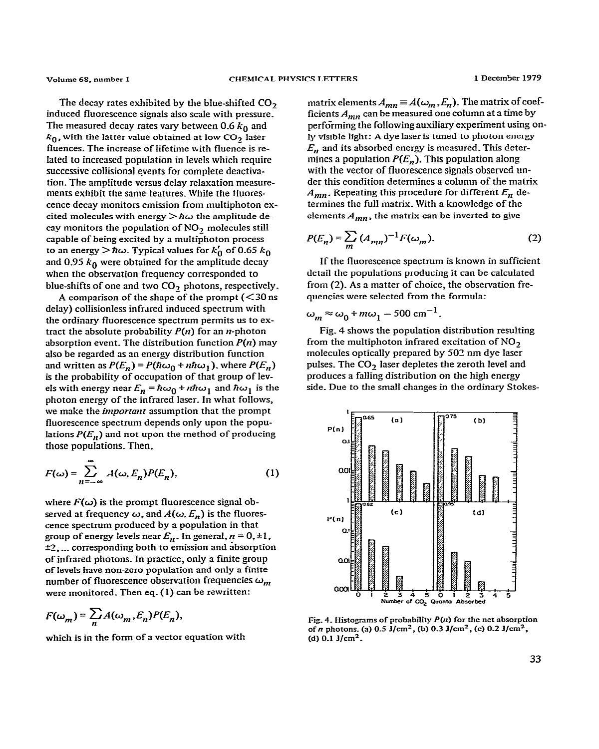The decay rates exhibited by the blue-shifted CO<sub>2</sub> **induced fluorescence signals also scale with pressure\_**  The measured decay rates vary between  $0.6 k_0$  and  $k_0$ , with the latter value obtained at low  $CO_2$  laser **ffuences. The increase of Iifetime with fluence is re-Iated to increased population in levels which require successive collisional events for complete deactivation\_ The amp!itude versus delay relaxation measurements exhibit the same features\_ While the ffuorescence decay monitors emission from multiphoton ex**cited molecules with energy  $> \hbar \omega$  the amplitude de **cay monitors the population of NO., molecules still capable of being excited by a multiphoton process**  to an energy  $>\hbar\omega$ . Typical values for  $k'_0$  of 0.65  $k_0$ and 0.95  $k_0$  were obtained for the amplitude decay **when the observation frequency corresponded to blue-shifts of one and two CO, photons, respectively.** 

**A comparison of the shape of the prompt (< 30 ns delay) collisionless infrared induced spectrum with the ordinary fluorescence spectrum permits us to ex**tract the absolute probability  $P(n)$  for an *n*-photon **absorption event. The distribution function** *P(n)* **may also be regarded as an energy distribution function**  and written as  $P(E_n) = P(\hbar\omega_0 + n\hbar\omega_1)$ , where  $P(E_n)$ *is* **the probability of occupation of that group of levels** with **energy** near  $E_n = \hbar \omega_0 + n \hbar \omega_1$  and  $\hbar \omega_1$  is the **photon energy of the infrared laser. In what follows,**  we make the *important* assumption that the prompt **fluorescence spectrum depends only upon the popu**lations  $P(E_n)$  and not upon the method of producing **those populations\_ Then,** 

$$
F(\omega) = \sum_{n = -\infty}^{\infty} A(\omega, E_n) P(E_n),
$$
 (1)

where  $F(\omega)$  is the prompt fluorescence signal observed at frequency  $\omega$ , and  $A(\omega, E_n)$  is the fluores**cence spectrum produced by a population in that**  group of energy levels near  $E_n$ . In general,  $n = 0, \pm 1$ , **22, .\_\_ corresponding both to emission and absorption of infrared photons. In practice, only a fiiite group of levels have non-zero population and only a finite**  number of fluorescence observation frequencies  $\omega_m$ **were monitored\_ Then eq. (1) can be rewritten:** 

$$
F(\omega_m) = \sum_n A(\omega_m, E_n) P(E_n),
$$

**which is in the form of a vector equation with** 

 $m$ atrix elements  $A_{mn} \equiv A(\omega_m, E_n)$ . The matrix of coef**ficients** *Am,\** **can be measured one column at a time by performing the following auxiliary experiment using on**ly visible light: A dye laser is tuned to photon energy  $E_n$  and its absorbed energy is measured. This determines a population  $P(E_n)$ . This population along **with the vector of fluorescence signals observed under this condition determines a column of the matrix**   $A_{mn}$ . Repeating this procedure for different  $E_n$  de**termines the fulI matrix. With a knowledge of the**  elements  $A_{mn}$ , the matrix can be inverted to give

$$
P(E_n) = \sum_{m} (A_{mn})^{-1} F(\omega_m).
$$
 (2)

**If the fluorescence spectrum is known in sufficient detail the populations producing it can be calculated from (2). As a matter of choice, the observation fre**quencies were selected from the formula:

 $\omega_m \approx \omega_0 + m\omega_1 - 500 \text{ cm}^{-1}$ .

**Fig. 4 shows the population distribution resuiting from the multiphoton infrared excitation of NO, molecuIes opticnliy prepared by 503 nm dye laser**  pulses. The CO<sub>2</sub> laser depletes the zeroth level and **produces a falling distribution on the high energy side\_ Due to the small changes in the ordinary Stokes-**



**Fig\_ 4. Histograms of probability** *P(n)* **for the net absorption ofn photons\_ (a) 0.5 J/cm', (b) 0.3 J/cm\*, (c) 0.2 J/cm\*, (d) 0.1 J/cm'.**